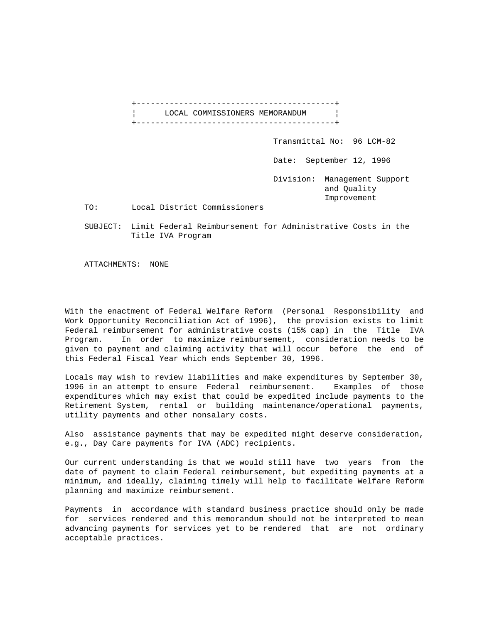+------------------------------------------+ LOCAL COMMISSIONERS MEMORANDUM | +------------------------------------------+ Transmittal No: 96 LCM-82 Date: September 12, 1996 Division: Management Support and Quality Improvement TO: Local District Commissioners

 SUBJECT: Limit Federal Reimbursement for Administrative Costs in the Title IVA Program

ATTACHMENTS: NONE

With the enactment of Federal Welfare Reform (Personal Responsibility and Work Opportunity Reconciliation Act of 1996), the provision exists to limit Federal reimbursement for administrative costs (15% cap) in the Title IVA Program. In order to maximize reimbursement, consideration needs to be given to payment and claiming activity that will occur before the end of this Federal Fiscal Year which ends September 30, 1996.

Locals may wish to review liabilities and make expenditures by September 30, 1996 in an attempt to ensure Federal reimbursement. Examples of those expenditures which may exist that could be expedited include payments to the Retirement System, rental or building maintenance/operational payments, utility payments and other nonsalary costs.

Also assistance payments that may be expedited might deserve consideration, e.g., Day Care payments for IVA (ADC) recipients.

Our current understanding is that we would still have two years from the date of payment to claim Federal reimbursement, but expediting payments at a minimum, and ideally, claiming timely will help to facilitate Welfare Reform planning and maximize reimbursement.

Payments in accordance with standard business practice should only be made for services rendered and this memorandum should not be interpreted to mean advancing payments for services yet to be rendered that are not ordinary acceptable practices.